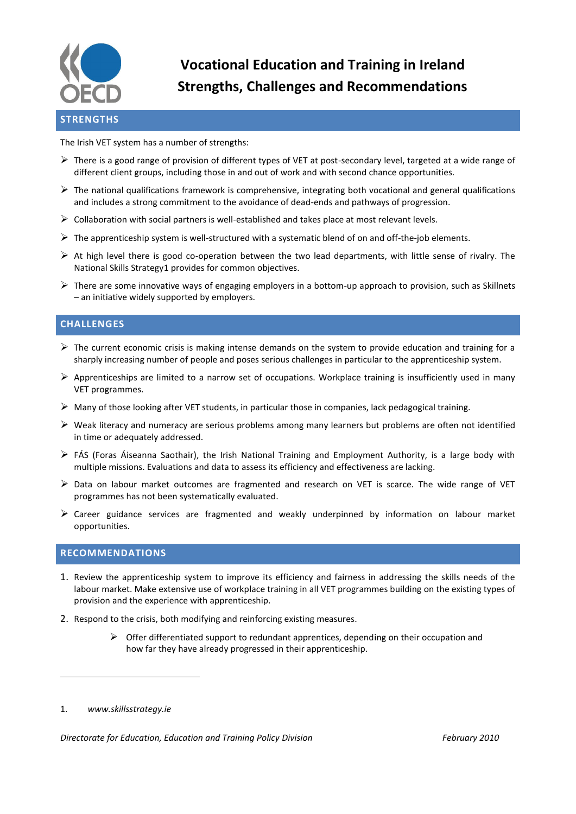

# **Vocational Education and Training in Ireland Strengths, Challenges and Recommendations**

# **STRENGTHS**

The Irish VET system has a number of strengths:

- $\triangleright$  There is a good range of provision of different types of VET at post-secondary level, targeted at a wide range of different client groups, including those in and out of work and with second chance opportunities.
- $\triangleright$  The national qualifications framework is comprehensive, integrating both vocational and general qualifications and includes a strong commitment to the avoidance of dead-ends and pathways of progression.
- $\triangleright$  Collaboration with social partners is well-established and takes place at most relevant levels.
- The apprenticeship system is well-structured with a systematic blend of on and off-the-job elements.
- $\triangleright$  At high level there is good co-operation between the two lead departments, with little sense of rivalry. The National Skills Strategy1 provides for common objectives.
- $\triangleright$  There are some innovative ways of engaging employers in a bottom-up approach to provision, such as Skillnets – an initiative widely supported by employers.

## **CHALLENGES**

- $\triangleright$  The current economic crisis is making intense demands on the system to provide education and training for a sharply increasing number of people and poses serious challenges in particular to the apprenticeship system.
- $\triangleright$  Apprenticeships are limited to a narrow set of occupations. Workplace training is insufficiently used in many VET programmes.
- Many of those looking after VET students, in particular those in companies, lack pedagogical training.
- $\triangleright$  Weak literacy and numeracy are serious problems among many learners but problems are often not identified in time or adequately addressed.
- $\triangleright$  FÁS (Foras Áiseanna Saothair), the Irish National Training and Employment Authority, is a large body with multiple missions. Evaluations and data to assess its efficiency and effectiveness are lacking.
- $\triangleright$  Data on labour market outcomes are fragmented and research on VET is scarce. The wide range of VET programmes has not been systematically evaluated.
- $\triangleright$  Career guidance services are fragmented and weakly underpinned by information on labour market opportunities.

### **RECOMMENDATIONS**

- 1. Review the apprenticeship system to improve its efficiency and fairness in addressing the skills needs of the labour market. Make extensive use of workplace training in all VET programmes building on the existing types of provision and the experience with apprenticeship.
- 2. Respond to the crisis, both modifying and reinforcing existing measures.
	- $\triangleright$  Offer differentiated support to redundant apprentices, depending on their occupation and how far they have already progressed in their apprenticeship.

 $\overline{a}$ 

<sup>1.</sup> *www.skillsstrategy.ie*